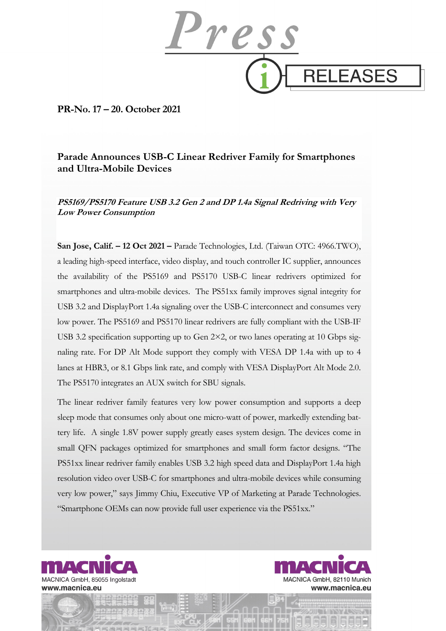

**PR-No. 17 – 20. October 2021** 

# **Parade Announces USB-C Linear Redriver Family for Smartphones and Ultra-Mobile Devices**

**PS5169/PS5170 Feature USB 3.2 Gen 2 and DP 1.4a Signal Redriving with Very Low Power Consumption** 

**San Jose, Calif. – 12 Oct 2021 –** Parade Technologies, Ltd. (Taiwan OTC: 4966.TWO), a leading high-speed interface, video display, and touch controller IC supplier, announces the availability of the PS5169 and PS5170 USB-C linear redrivers optimized for smartphones and ultra-mobile devices. The PS51xx family improves signal integrity for USB 3.2 and DisplayPort 1.4a signaling over the USB-C interconnect and consumes very low power. The PS5169 and PS5170 linear redrivers are fully compliant with the USB-IF USB 3.2 specification supporting up to Gen 2×2, or two lanes operating at 10 Gbps signaling rate. For DP Alt Mode support they comply with VESA DP 1.4a with up to 4 lanes at HBR3, or 8.1 Gbps link rate, and comply with VESA DisplayPort Alt Mode 2.0. The PS5170 integrates an AUX switch for SBU signals.

The linear redriver family features very low power consumption and supports a deep sleep mode that consumes only about one micro-watt of power, markedly extending battery life. A single 1.8V power supply greatly eases system design. The devices come in small QFN packages optimized for smartphones and small form factor designs. "The PS51xx linear redriver family enables USB 3.2 high speed data and DisplayPort 1.4a high resolution video over USB-C for smartphones and ultra-mobile devices while consuming very low power," says Jimmy Chiu, Executive VP of Marketing at Parade Technologies. "Smartphone OEMs can now provide full user experience via the PS51xx."



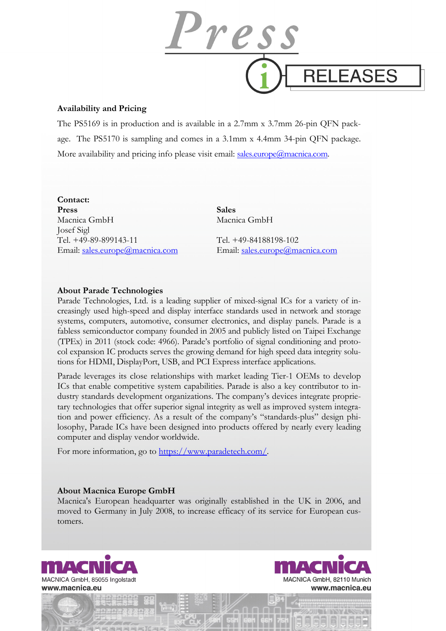

## **Availability and Pricing**

The PS5169 is in production and is available in a 2.7mm x 3.7mm 26-pin QFN package. The PS5170 is sampling and comes in a 3.1mm x 4.4mm 34-pin QFN package. More availability and pricing info please visit email: sales.europe@macnica.com.

### **Contact:**

**Press** Sales Macnica GmbH Macnica GmbH Josef Sigl Tel. +49-89-899143-11 Tel. +49-84188198-102 Email: sales.europe@macnica.com Email: sales.europe@macnica.com

# **About Parade Technologies**

Parade Technologies, Ltd. is a leading supplier of mixed-signal ICs for a variety of increasingly used high-speed and display interface standards used in network and storage systems, computers, automotive, consumer electronics, and display panels. Parade is a fabless semiconductor company founded in 2005 and publicly listed on Taipei Exchange (TPEx) in 2011 (stock code: 4966). Parade's portfolio of signal conditioning and protocol expansion IC products serves the growing demand for high speed data integrity solutions for HDMI, DisplayPort, USB, and PCI Express interface applications.

Parade leverages its close relationships with market leading Tier-1 OEMs to develop ICs that enable competitive system capabilities. Parade is also a key contributor to industry standards development organizations. The company's devices integrate proprietary technologies that offer superior signal integrity as well as improved system integration and power efficiency. As a result of the company's "standards-plus" design philosophy, Parade ICs have been designed into products offered by nearly every leading computer and display vendor worldwide.

For more information, go to https://www.paradetech.com/.

## **About Macnica Europe GmbH**

Macnica's European headquarter was originally established in the UK in 2006, and moved to Germany in July 2008, to increase efficacy of its service for European customers.